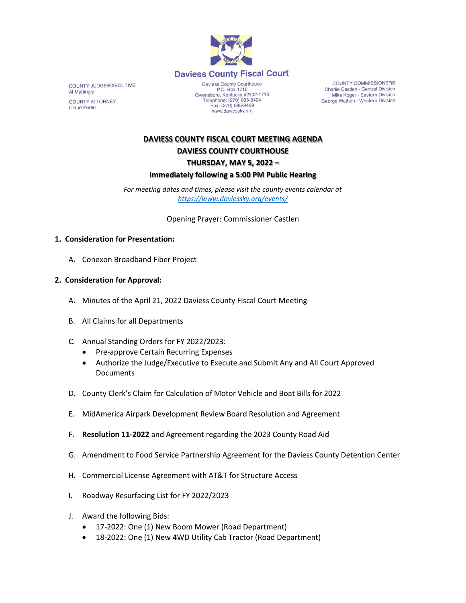

COUNTY JUDGE/EXECUTIVE Al Mattingly **COUNTY ATTORNEY Claud Porter** 

Daviess County Courthouse P.O. Box 1716<br>Owensboro, Kentucky 42302-1716<br>Telephone: (270) 685-8424 Fax: (270) 685-8469 www.daviessky.org

**COUNTY COMMISSIONERS** Charlie Castlen - Central Division<br>Mike Koger - Eastern Division George Wathen - Western Division

# **DAVIESS COUNTY FISCAL COURT MEETING AGENDA DAVIESS COUNTY COURTHOUSE THURSDAY, MAY 5, 2022 – Immediately following a 5:00 PM Public Hearing**

*For meeting dates and times, please visit the county events calendar at <https://www.daviessky.org/events/>*

Opening Prayer: Commissioner Castlen

#### **1. Consideration for Presentation:**

A. Conexon Broadband Fiber Project

#### **2. Consideration for Approval:**

- A. Minutes of the April 21, 2022 Daviess County Fiscal Court Meeting
- B. All Claims for all Departments
- C. Annual Standing Orders for FY 2022/2023:
	- Pre-approve Certain Recurring Expenses
	- Authorize the Judge/Executive to Execute and Submit Any and All Court Approved Documents
- D. County Clerk's Claim for Calculation of Motor Vehicle and Boat Bills for 2022
- E. MidAmerica Airpark Development Review Board Resolution and Agreement
- F. **Resolution 11-2022** and Agreement regarding the 2023 County Road Aid
- G. Amendment to Food Service Partnership Agreement for the Daviess County Detention Center
- H. Commercial License Agreement with AT&T for Structure Access
- I. Roadway Resurfacing List for FY 2022/2023
- J. Award the following Bids:
	- 17-2022: One (1) New Boom Mower (Road Department)
	- 18-2022: One (1) New 4WD Utility Cab Tractor (Road Department)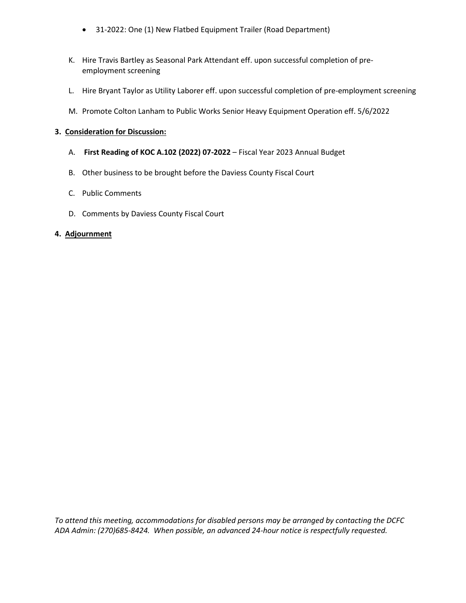- 31-2022: One (1) New Flatbed Equipment Trailer (Road Department)
- K. Hire Travis Bartley as Seasonal Park Attendant eff. upon successful completion of preemployment screening
- L. Hire Bryant Taylor as Utility Laborer eff. upon successful completion of pre-employment screening
- M. Promote Colton Lanham to Public Works Senior Heavy Equipment Operation eff. 5/6/2022

### **3. Consideration for Discussion:**

- A. **First Reading of KOC A.102 (2022) 07-2022** Fiscal Year 2023 Annual Budget
- B. Other business to be brought before the Daviess County Fiscal Court
- C. Public Comments
- D. Comments by Daviess County Fiscal Court

## **4. Adjournment**